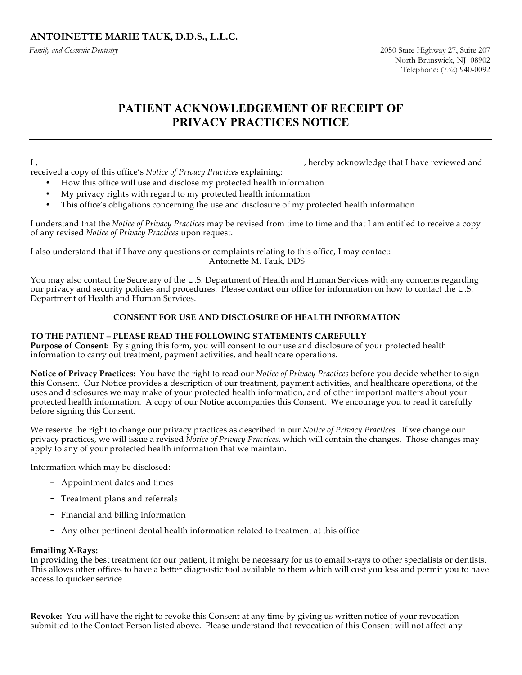*Family and Cosmetic Dentistry*

# **PATIENT ACKNOWLEDGEMENT OF RECEIPT OF PRIVACY PRACTICES NOTICE**

I , \_\_\_\_\_\_\_\_\_\_\_\_\_\_\_\_\_\_\_\_\_\_\_\_\_\_\_\_\_\_\_\_\_\_\_\_\_\_\_\_\_\_\_\_\_\_\_\_\_\_\_\_\_\_\_\_\_\_\_\_\_\_, hereby acknowledge that I have reviewed and

received a copy of this office's *Notice of Privacy Practices* explaining:

- How this office will use and disclose my protected health information
- My privacy rights with regard to my protected health information
- This office's obligations concerning the use and disclosure of my protected health information

I understand that the *Notice of Privacy Practices* may be revised from time to time and that I am entitled to receive a copy of any revised *Notice of Privacy Practices* upon request.

I also understand that if I have any questions or complaints relating to this office, I may contact: Antoinette M. Tauk, DDS

You may also contact the Secretary of the U.S. Department of Health and Human Services with any concerns regarding our privacy and security policies and procedures. Please contact our office for information on how to contact the U.S. Department of Health and Human Services.

## **CONSENT FOR USE AND DISCLOSURE OF HEALTH INFORMATION**

### **TO THE PATIENT – PLEASE READ THE FOLLOWING STATEMENTS CAREFULLY**

**Purpose of Consent:** By signing this form, you will consent to our use and disclosure of your protected health information to carry out treatment, payment activities, and healthcare operations.

**Notice of Privacy Practices:** You have the right to read our *Notice of Privacy Practices* before you decide whether to sign this Consent. Our Notice provides a description of our treatment, payment activities, and healthcare operations, of the uses and disclosures we may make of your protected health information, and of other important matters about your protected health information. A copy of our Notice accompanies this Consent. We encourage you to read it carefully before signing this Consent.

We reserve the right to change our privacy practices as described in our *Notice of Privacy Practices*. If we change our privacy practices, we will issue a revised *Notice of Privacy Practices*, which will contain the changes. Those changes may apply to any of your protected health information that we maintain.

Information which may be disclosed:

- Appointment dates and times
- Treatment plans and referrals
- Financial and billing information
- Any other pertinent dental health information related to treatment at this office

#### **Emailing X-Rays:**

In providing the best treatment for our patient, it might be necessary for us to email x-rays to other specialists or dentists. This allows other offices to have a better diagnostic tool available to them which will cost you less and permit you to have access to quicker service.

**Revoke:** You will have the right to revoke this Consent at any time by giving us written notice of your revocation submitted to the Contact Person listed above. Please understand that revocation of this Consent will not affect any